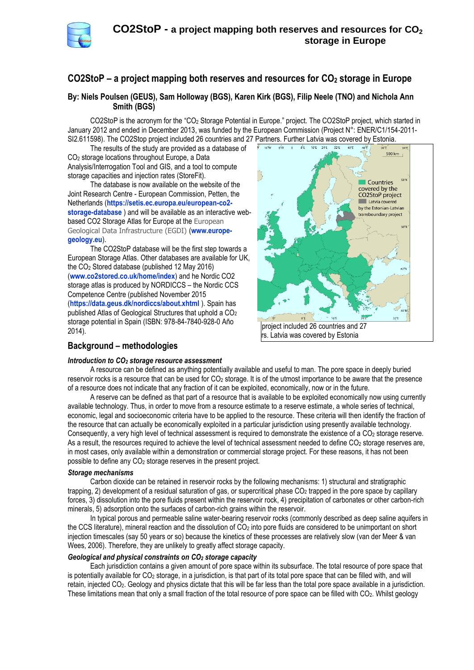

# **CO2StoP – a project mapping both reserves and resources for CO<sup>2</sup> storage in Europe**

## **By: Niels Poulsen (GEUS), Sam Holloway (BGS), Karen Kirk (BGS), Filip Neele (TNO) and Nichola Ann Smith (BGS)**

CO2StoP is the acronym for the "CO<sup>2</sup> Storage Potential in Europe." project. The CO2StoP project, which started in January 2012 and ended in December 2013, was funded by the European Commission (Project N°: ENER/C1/154-2011- SI2.611598). The CO2Stop project included 26 countries and 27 Partners. Further Latvia was covered by Estonia.

The results of the study are provided as a database of CO<sup>2</sup> storage locations throughout Europe, a Data Analysis/Interrogation Tool and GIS, and a tool to compute storage capacities and injection rates (StoreFit).

The database is now available on the website of the Joint Research Centre - European Commission, Petten, the Netherlands (**[https://setis.ec.europa.eu/european-co2](https://setis.ec.europa.eu/european-co2-storage-database) [storage-database](https://setis.ec.europa.eu/european-co2-storage-database)** ) and will be available as an interactive webbased CO2 Storage Atlas for Europe at the European Geological Data Infrastructure (EGDI) (**www.europegeology.eu**).

The CO2StoP database will be the first step towards a European Storage Atlas. Other databases are available for UK, the CO<sup>2</sup> Stored database (published 12 May 2016) (**[www.co2stored.co.uk/home/index](http://www.co2stored.co.uk/home/index)**) and he Nordic CO2 storage atlas is produced by NORDICCS – the Nordic CCS Competence Centre (published November 2015 (**<https://data.geus.dk/nordiccs/about.xhtml>** ). Spain has published Atlas of Geological Structures that uphold a  $CO<sub>2</sub>$ storage potential in Spain (ISBN: 978-84-7840-928-0 Año 2014).



## **Background – methodologies**

### *Introduction to CO<sup>2</sup> storage resource assessment*

A resource can be defined as anything potentially available and useful to man. The pore space in deeply buried reservoir rocks is a resource that can be used for  $CO<sub>2</sub>$  storage. It is of the utmost importance to be aware that the presence of a resource does not indicate that any fraction of it can be exploited, economically, now or in the future.

A reserve can be defined as that part of a resource that is available to be exploited economically now using currently available technology. Thus, in order to move from a resource estimate to a reserve estimate, a whole series of technical, economic, legal and socioeconomic criteria have to be applied to the resource. These criteria will then identify the fraction of the resource that can actually be economically exploited in a particular jurisdiction using presently available technology. Consequently, a very high level of technical assessment is required to demonstrate the existence of a CO<sub>2</sub> storage reserve. As a result, the resources required to achieve the level of technical assessment needed to define CO<sub>2</sub> storage reserves are, in most cases, only available within a demonstration or commercial storage project. For these reasons, it has not been possible to define any CO<sup>2</sup> storage reserves in the present project.

### *Storage mechanisms*

Carbon dioxide can be retained in reservoir rocks by the following mechanisms: 1) structural and stratigraphic trapping, 2) development of a residual saturation of gas, or supercritical phase CO<sub>2</sub> trapped in the pore space by capillary forces, 3) dissolution into the pore fluids present within the reservoir rock, 4) precipitation of carbonates or other carbon-rich minerals, 5) adsorption onto the surfaces of carbon-rich grains within the reservoir.

In typical porous and permeable saline water-bearing reservoir rocks (commonly described as deep saline aquifers in the CCS literature), mineral reaction and the dissolution of CO<sup>2</sup> into pore fluids are considered to be unimportant on short injection timescales (say 50 years or so) because the kinetics of these processes are relatively slow (van der Meer & van Wees, 2006). Therefore, they are unlikely to greatly affect storage capacity.

### *Geological and physical constraints on CO<sup>2</sup> storage capacity*

Each jurisdiction contains a given amount of pore space within its subsurface. The total resource of pore space that is potentially available for  $CO<sub>2</sub>$  storage, in a jurisdiction, is that part of its total pore space that can be filled with, and will retain, injected CO2. Geology and physics dictate that this will be far less than the total pore space available in a jurisdiction. These limitations mean that only a small fraction of the total resource of pore space can be filled with CO2. Whilst geology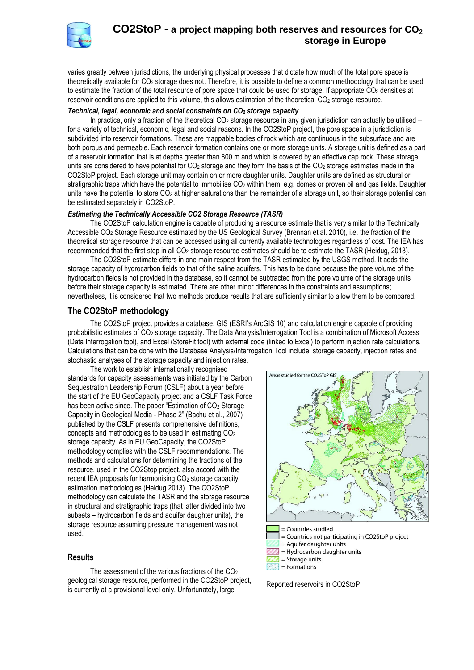

## **CO2StoP - a project mapping both reserves and resources for CO<sup>2</sup> storage in Europe**

varies greatly between jurisdictions, the underlying physical processes that dictate how much of the total pore space is theoretically available for CO<sup>2</sup> storage does not. Therefore, it is possible to define a common methodology that can be used to estimate the fraction of the total resource of pore space that could be used for storage. If appropriate  $CO<sub>2</sub>$  densities at reservoir conditions are applied to this volume, this allows estimation of the theoretical  $CO<sub>2</sub>$  storage resource.

### *Technical, legal, economic and social constraints on CO<sup>2</sup> storage capacity*

In practice, only a fraction of the theoretical  $CO<sub>2</sub>$  storage resource in any given jurisdiction can actually be utilised – for a variety of technical, economic, legal and social reasons. In the CO2StoP project, the pore space in a jurisdiction is subdivided into reservoir formations. These are mappable bodies of rock which are continuous in the subsurface and are both porous and permeable. Each reservoir formation contains one or more storage units. A storage unit is defined as a part of a reservoir formation that is at depths greater than 800 m and which is covered by an effective cap rock. These storage units are considered to have potential for  $CO<sub>2</sub>$  storage and they form the basis of the  $CO<sub>2</sub>$  storage estimates made in the CO2StoP project. Each storage unit may contain on or more daughter units. Daughter units are defined as structural or stratigraphic traps which have the potential to immobilise  $CO<sub>2</sub>$  within them, e.g. domes or proven oil and gas fields. Daughter units have the potential to store  $CO<sub>2</sub>$  at higher saturations than the remainder of a storage unit, so their storage potential can be estimated separately in CO2StoP.

### *Estimating the Technically Accessible CO2 Storage Resource (TASR)*

The CO2StoP calculation engine is capable of producing a resource estimate that is very similar to the Technically Accessible CO<sup>2</sup> Storage Resource estimated by the US Geological Survey (Brennan et al. 2010), i.e. the fraction of the theoretical storage resource that can be accessed using all currently available technologies regardless of cost. The IEA has recommended that the first step in all CO<sup>2</sup> storage resource estimates should be to estimate the TASR (Heidug, 2013).

The CO2StoP estimate differs in one main respect from the TASR estimated by the USGS method. It adds the storage capacity of hydrocarbon fields to that of the saline aquifers. This has to be done because the pore volume of the hydrocarbon fields is not provided in the database, so it cannot be subtracted from the pore volume of the storage units before their storage capacity is estimated. There are other minor differences in the constraints and assumptions; nevertheless, it is considered that two methods produce results that are sufficiently similar to allow them to be compared.

### **The CO2StoP methodology**

The CO2StoP project provides a database, GIS (ESRI's ArcGIS 10) and calculation engine capable of providing probabilistic estimates of CO<sup>2</sup> storage capacity. The Data Analysis/Interrogation Tool is a combination of Microsoft Access (Data Interrogation tool), and Excel (StoreFit tool) with external code (linked to Excel) to perform injection rate calculations. Calculations that can be done with the Database Analysis/Interrogation Tool include: storage capacity, injection rates and stochastic analyses of the storage capacity and injection rates.

The work to establish internationally recognised standards for capacity assessments was initiated by the Carbon Sequestration Leadership Forum (CSLF) about a year before the start of the EU GeoCapacity project and a CSLF Task Force has been active since. The paper "Estimation of CO<sub>2</sub> Storage Capacity in Geological Media - Phase 2" (Bachu et al., 2007) published by the CSLF presents comprehensive definitions, concepts and methodologies to be used in estimating CO<sup>2</sup> storage capacity. As in EU GeoCapacity, the CO2StoP methodology complies with the CSLF recommendations. The methods and calculations for determining the fractions of the resource, used in the CO2Stop project, also accord with the recent IEA proposals for harmonising CO<sub>2</sub> storage capacity estimation methodologies (Heidug 2013). The CO2StoP methodology can calculate the TASR and the storage resource in structural and stratigraphic traps (that latter divided into two subsets – hydrocarbon fields and aquifer daughter units), the storage resource assuming pressure management was not used.

### **Results**

The assessment of the various fractions of the CO<sub>2</sub> geological storage resource, performed in the CO2StoP project, geological storage resource, performed in the CO2StoP project,<br>is currently at a provisional level only. Unfortunately, large  $\vert$  Reported reservoirs in CO2StoP

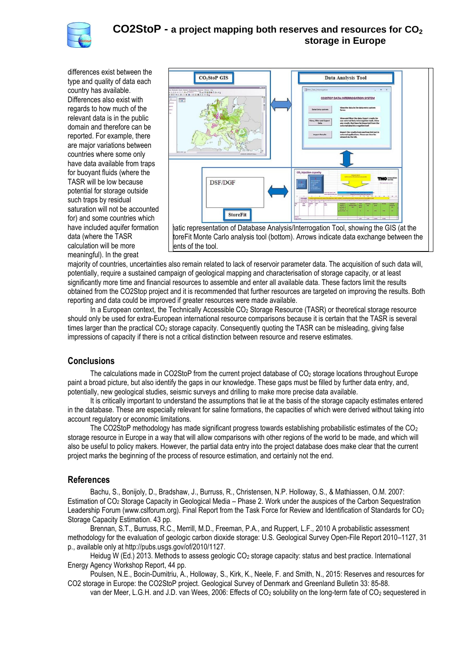

differences exist between the type and quality of data each country has available. Differences also exist with regards to how much of the relevant data is in the public domain and therefore can be reported. For example, there are major variations between countries where some only have data available from traps for buoyant fluids (where the TASR will be low because potential for storage outside such traps by residual saturation will not be accounted for) and some countries which have included aquifer formation data (where the TASR calculation will be more meaningful). In the great



majority of countries, uncertainties also remain related to lack of reservoir parameter data. The acquisition of such data will, potentially, require a sustained campaign of geological mapping and characterisation of storage capacity, or at least significantly more time and financial resources to assemble and enter all available data. These factors limit the results obtained from the CO2Stop project and it is recommended that further resources are targeted on improving the results. Both reporting and data could be improved if greater resources were made available.

In a European context, the Technically Accessible CO<sub>2</sub> Storage Resource (TASR) or theoretical storage resource should only be used for extra-European international resource comparisons because it is certain that the TASR is several times larger than the practical CO<sub>2</sub> storage capacity. Consequently quoting the TASR can be misleading, giving false impressions of capacity if there is not a critical distinction between resource and reserve estimates.

## **Conclusions**

The calculations made in CO2StoP from the current project database of CO<sup>2</sup> storage locations throughout Europe paint a broad picture, but also identify the gaps in our knowledge. These gaps must be filled by further data entry, and, potentially, new geological studies, seismic surveys and drilling to make more precise data available.

It is critically important to understand the assumptions that lie at the basis of the storage capacity estimates entered in the database. These are especially relevant for saline formations, the capacities of which were derived without taking into account regulatory or economic limitations.

The CO2StoP methodology has made significant progress towards establishing probabilistic estimates of the CO<sup>2</sup> storage resource in Europe in a way that will allow comparisons with other regions of the world to be made, and which will also be useful to policy makers. However, the partial data entry into the project database does make clear that the current project marks the beginning of the process of resource estimation, and certainly not the end.

## **References**

Bachu, S., Bonijoly, D., Bradshaw, J., Burruss, R., Christensen, N.P. Holloway, S., & Mathiassen, O.M. 2007: Estimation of CO<sup>2</sup> Storage Capacity in Geological Media – Phase 2. Work under the auspices of the Carbon Sequestration Leadership Forum (www.cslforum.org). Final Report from the Task Force for Review and Identification of Standards for CO<sub>2</sub> Storage Capacity Estimation. 43 pp.

Brennan, S.T., Burruss, R.C., Merrill, M.D., Freeman, P.A., and Ruppert, L.F., 2010 A probabilistic assessment methodology for the evaluation of geologic carbon dioxide storage: U.S. Geological Survey Open-File Report 2010–1127, 31 p., available only at http://pubs.usgs.gov/of/2010/1127.

Heidug W (Ed.) 2013. Methods to assess geologic CO<sup>2</sup> storage capacity: status and best practice. International Energy Agency Workshop Report, 44 pp.

Poulsen, N.E., Bocin-Dumitriu, A., Holloway, S., Kirk, K., Neele, F. and Smith, N., 2015: Reserves and resources for CO2 storage in Europe: the CO2StoP project. Geological Survey of Denmark and Greenland Bulletin 33: 85-88.

van der Meer, L.G.H. and J.D. van Wees, 2006: Effects of CO<sub>2</sub> solubility on the long-term fate of CO<sub>2</sub> sequestered in